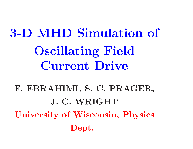3-D MHD Simulation of MHD Simulatio<br>Oscillating Field **MHD Simulati<br>Particularies**<br>Current Drive

F. EBRAHIMI, S. C. PRAGER, Current Drive<br>RAHIMI, S. C. PRA<br>J. C. WRIGHT University of Wisconsin, Physics Dept.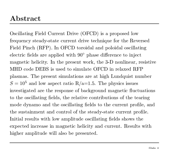#### Abstract

Oscillating Field Current Drive (OFCD) is a proposed low ADStract<br>Oscillating Field Current Drive (OFCD) is a proposed low<br>frequency steady-state current drive technique for the Reversed<br>Field Pinch (RFP). In OFCD toroidal and poloidal oscillating Oscillating Field Current Drive (OFCD) is a proposed low<br>frequency steady-state current drive technique for the Reve:<br>Field Pinch (RFP). In OFCD toroidal and poloidal oscillati<br>electric fields are applied with  $90^{\circ}$  ph electric fields are applied with  $90^{\circ}$  phase difference to inject<br>magnetic helicity. In the present work, the 3-D nonlinear, resistive Field Pinch (RFP). In OFCD toroidal and poloidal oscillating<br>electric fields are applied with  $90^{\circ}$  phase difference to inject<br>magnetic helicity. In the present work, the 3-D nonlinear, resis<br>MHD code DEBS is used to s plasmas. The present simulations are at high Lundquist number electric fields are applied with 90° phase difference to injeuragnetic helicity. In the present work, the 3-D nonlinear, MHD code DEBS is used to simulate OFCD in relaxed RI plasmas. The present simulations are at high Lu MHD code DEBS is used to simulate OFCD in relaxed  $RF$ <br>plasmas. The present simulations are at high Lundquist number<br> $S = 10^5$  and low aspect ratio R/a=1.5. The physics issues<br>investigated are the response of background ma  $S = 10^5$  and low aspect ratio R/a=1.5. The physics issues<br>investigated are the response of background magnetic fluctuatio<br>to the oscillating fields, the relative contributions of the tearing  $S = 10^{\circ}$  and low aspect ratio  $K/a=1.5$ . The physics issues<br>investigated are the response of background magnetic fluctuations<br>to the oscillating fields, the relative contributions of the tearing<br>mode dynamo and the osci investigated are the response of background magnetic nuctuati<br>to the oscillating fields, the relative contributions of the tearing<br>mode dynamo and the oscillating fields to the current profile, a<br>the sustainment and contro Investigated are the response of background magnetic fluctuato the oscillating fields, the relative contributions of the tear mode dynamo and the oscillating fields to the current profile the sustainment and control of the mode dynamo and the oscillating nelds to the current profile, an<br>the sustainment and control of the steady-state current profile.<br>Initial results with low amplitude oscillating fields shows the<br>expected increase in magneti Initial results with low amplitude oscilla<br>expected increase in magnetic helicity a<br>higher amplitude will also be presented.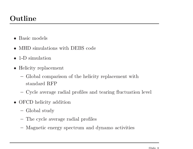### Outline

- *i*<br>Basic models<br>Construction
- Basic models<br>• MHD simulations with DEBS code • Basic models<br>• MHD simulation<br>• 1-D simulation
- 
- MHD simulations wi $\bullet$  1-D simulation<br>• Helicity replacement
- 1-D simulation<br>
 Helicity replacement<br>
 Global comparison of the helicity replacement with ) simulation<br>icity replacem<br>Global compar<br>standard RFP - Global comparison c<br>standard RFP<br>- Cycle average radial<br>• OFCD helicity addition
	- standard RFP<br>
	 Cycle average radial profiles and tearing fluctuation level - Cycle average<br>
	DFCD helicity a<br>
	- Global study
- -
	- Global study<br>- The cycle average radial profiles
	- Magnetic energy spectrum and dynamo activities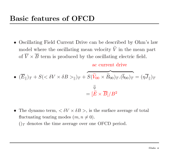#### Basic features of OFCD

• Oscillating Field Current Drive can be described by Ohm's law  $\label{eq:1} \text{Oscillating Field Current Drive can be described by Ohm's law}$  <br> Model where the oscillating mean velocity  $\widetilde{V}$  in the mean part Oscilla<br>model<br>of  $\overline{V}$   $\times$ Example 1 ing Field Current Drive can be described by Ohm<sup>3</sup><br>where the oscillating mean velocity  $\widetilde{V}$  in the mean<br> $\overline{B}$  term is produced by the oscillating electric field. model where the oscillating mean velocity  $\widetilde{V}$  in the of  $\overline{V} \times \overline{B}$  term is produced by the oscillating electric accurrent drive<br>accurrent drive<br> $\bullet \ (\overline{E}_{\parallel})_T + S(<\delta V \times \delta B>)_{\parallel})_T + \widetilde{S(\widetilde{V}_{00} \times \widetilde{B}_{00})_T .$ the oscillating electric<br>ac current drive ity  $\widetilde{V}$  in the mean part<br>ating electric field.<br>rent drive<br> $\widetilde{\widetilde{B}}_{00})_T . (\overline{b}_{00})_T = (\eta \overline{J}_\parallel)_T$ 

\n- \n
$$
\text{a current drive}
$$
\n
\n- \n
$$
(\overline{E}_{\parallel})_T + S \left( \langle \delta V \times \delta B \rangle_{\parallel} \right)_T + \overbrace{S(\widetilde{V}_{00} \times \widetilde{B}_{00})_T \cdot (\overline{b}_{00})_T}^{\text{div}} = (\eta \overline{J}_{\parallel})_T
$$
\n
\n- \n
$$
= [\widetilde{E} \times \overline{B}]/B^2
$$
\n
\n- \n The dynamo term,  $\langle \delta V \times \delta B \rangle$ , is the surface average of total\n
\n

 $= [\hat{H}]$ <br>The dynamo term,  $< \delta V \times \delta B >$ , is thuctuating tearing modes  $(m, n \neq 0)$ . The dynamo term,  $\langle \delta V \times \delta B \rangle$ , is the surface avera<br>fluctuating tearing modes  $(m, n \neq 0)$ .<br>()<sub>T</sub> denotes the time average over one OFCD period.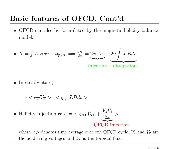## Basic features of OFCD, Cont'd **Example: Solution CECD, Cont'd**<br>• OFCD can also be formulated by the magnetic helicity balance

OFCD<br>model. • OFCD can also be formulated by the magnetic helicit<br>model.<br>•  $K = \int \bar{A}.\bar{B}dv - \phi_p \phi_T \Longrightarrow \frac{\partial K}{\partial t} = \underbrace{2\phi_T V_T}_{ } - 2\eta \int \bar{J}.\bar{B}dv$ 

\n- \n
$$
K = \int \bar{A} \cdot \bar{B} dv - \phi_p \phi_T \Longrightarrow \frac{\partial K}{\partial t} = \underbrace{2 \phi_T V_T}_{\text{injection}} - \underbrace{2 \eta \int \bar{J} \cdot \bar{B} dv}_{\text{disisipation}}
$$
\n
\n- \n $\Rightarrow \langle \phi_T V_T \rangle = \langle \eta \int \bar{J} \cdot \bar{B} dv \rangle$ \n
\n

• In steady state;

$$
\Longrightarrow \ \phi_T V_T>=<\eta \int \bar{J}.\bar{B} dv>
$$

 $H$  in steady state,<br>  $\implies$  <  $\phi_T V_T$  >=<  $\eta \int \bar{J}.\bar{B}dv$  ><br>  $H$  Helicity injection rate = <  $\phi_{T0}V_{T0} + \frac{V_z V_\theta}{2\omega}$  $\frac{V_z V_\theta}{2\omega}$ \<br>}<br>>  $\frac{V_z V_\theta}{2\omega} > 0 \ \text{OFCD injection}$ Helicity injection rate  $=$  <  $\phi_{T0}V_{T0} + \frac{V_zV_{\theta}}{2\omega}$  ><br>OFCD injection<br>where <> denotes time average over one OFCD cycle,  $V_z$  and  $V_{\theta}$  are

**OFCD** injection<br>where  $\langle \rangle$  denotes time average over one OFCD cycle,  $V_z$  and  $V_{\theta}$  are<br>the ac driving voltages and  $\phi_T$  is the toroidal flux.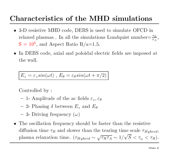# Characteristics of the MHD simulations **Characteristics of the MHD simulations**<br>• 3-D resistive MHD code, DEBS is used to simulate OFCD in

- $\begin{split} & \textbf{aracteristics of the MHD simulations} \ \text{3-D resistive MHD code, DEBS is used to simulate OFCD in \ \text{relaxed plasmas . In all the simulations Lundquist number} = \frac{\tau_R}{\tau_A}, \end{split}$ • 3-D resistive MHD code, DEBS is used to simulate OFCD in relaxed plasmas. In all the simulations Lundquist number= $\frac{7}{7}$ S = 10<sup>5</sup>, and Aspect Ratio R/a=1.5. In Debute 2020, ELES is used to simulate  $\text{SLB}$  in  $\text{SLB}$  is used to simulate  $\text{SLB}$  in  $\text{Blaxel}$  and  $\text{SLB}$  and  $\text{SLB}$  and  $\text{SLB}$  and  $\text{SLB}$  and  $\text{SLB}$  and  $\text{SLB}$  and  $\text{SLB}$  and  $\text{SLB}$  and  $\text{SLB}$
- In DEBS code, axial and poloidal electric fields are imposed at the wall.  $E_z = \varepsilon_z sin(\omega t)$ ,  $E_{\theta} = \varepsilon_{\theta} sin(\omega t + \pi/2)$ <br>  $E_z = \varepsilon_z sin(\omega t)$ ,  $E_{\theta} = \varepsilon_{\theta} sin(\omega t + \pi/2)$

 $E_z = \varepsilon_z sin(\omega t)$ <br>Controlled by :

- $\frac{L_z c_z s ln(\omega t)$ ,  $L_{\theta} = c_{\theta} s ln(\omega t + \kappa)}$ <br>
Controlled by :<br>
 1- Amplitude of the ac fields  $\varepsilon_z$ ,  $\varepsilon_{\theta}$
- Controlled by :<br>
 1- Amplitude of the ac fields  $\varepsilon_z$ ,<br>
 2- Phasing  $\delta$  between  $E_z$  and  $E_{\theta}$ Controlled by :<br>
- 1- Amplitude of the ac fields  $\varepsilon_z$ ,<br>
- 2- Phasing  $\delta$  between  $E_z$  and  $E_\theta$ <br>
- 3- Driving frequency  $(\omega)$
- 
- The oscillation frequency should be faster than the resistive diffusion time  $\tau_R$  and slower than the tearing time scale  $\tau_{Hybrid}$ , - 2- Phasing  $\theta$  between  $E_z$  and  $E_\theta$ <br>- 3- Driving frequency  $(\omega)$ <br>The oscillation frequency should be faster than the resistive<br>diffusion time  $\tau_R$  and slower than the tearing time scale  $\tau_{Hybrid}$ ,<br>plasma relaxation t  $\frac{\tau_R).}{\frac{2}{\sinh \theta}}$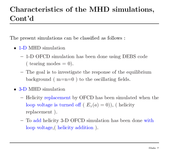# Characteristics of the MHD simulations, Charac<br>Cont'd Cont<sup>'</sup>d<br>The present simulations can be classified as follows :<br>• 1-D MHD simulation

- 
- 1-D MHD simulation<br>
 1-D OFCD simulation has been done using DEBS code  $($  tearing modes  $= 0).$  ${\rm -D}$  MHD simulations can be enablined as follows :<br>  ${\rm -D}$  MHD simulation<br>  ${\rm -1-D}$  OFCD simulation has been done using DEBS code<br>
(tearing modes = 0).<br>  ${\rm -The}$  goal is to investigate the response of the equilibrium
- background ( $m=n=0$ ) to the oscillating fields. (tearing modes =<br>  $-$  The goal is to inverton-<br>
background (m=<br>
• 3-D MHD simulation  $-$  The goal is to investigate the response of the equilibrium<br>background ( $m=n=0$ ) to the oscillating fields.<br> $B-D$  MHD simulation<br> $-$  Helicity replacement by OFCD has been simulated when the
- 
- background ( m=n=0 ) to the oscillating fields.<br>
( MHD simulation<br>
Helicity replacement by OFCD has been simulate<br>
loop voltage is turned off (  $E_z(a) = 0$ )), ( helicity Hencity replac<br>loop voltage is<br>replacement ). - Helicity replacement by OFCD has been simulated when t<br>loop voltage is turned off  $(E_z(a) = 0)$ ), (helicity<br>replacement).<br>- To add helicity 3-D OFCD simulation has been done with
	- replacement).<br>
	 To add helicity 3-D OFCD simulation has been done with<br>
	loop voltage,( helicity addition).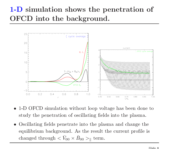### 1-D simulation shows the penetration of OFCD into the background.



- $\begin{array}{ccc} 0.0 & 0.2 & 0.4 & 0.6 & 0.8 & 1.0 & -2 \text{E}_{\text{0.40}} & 0.80 & 0.70 & 0.80 & 0.90 \ \text{1-D OFCD simulation without loop voltage has been donotively the penetration of oscillating fields into the plasma.} \end{array}$ • 1-D OFCD simulation without loop voltage has been done study the penetration of oscillating fields into the plasma.<br>• Oscillating fields penetrate into the plasma and change the 1-D OFCD simulation without loop voltage has been done t study the penetration of oscillating fields into the plasma.<br>Oscillating fields penetrate into the plasma and change the equilibrium background. As the result the c
- 1-D OFCD simulation without loop voltating fields be penetrate into the plane oscillating fields penetrate into the plane equilibrium background. As the result changed through  $\langle \bar{V}_{00} \times \bar{B}_{00} \rangle_{\parallel}$  term.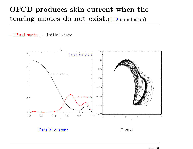### OFCD produces skin current when the OFCD produces skin current when the<br>tearing modes do not exist,(1-D simulation)  ${\bf tearing\,\, modes\,\,do} \nonumber \ - {\rm Final\,\,state\,\,,-\,Initial\,\,state}$

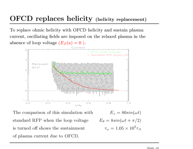# OFCD replaces helicity (helicity replacement) **OFCD replaces helicity** (helicity replacement<br>To replace ohmic helicity with OFCD helicity and sustain plasma

**OF'CD replaces helicity** (helicity replacement)<br>To replace ohmic helicity with OFCD helicity and sustain plasma<br>current, oscillating fields are imposed on the relaxed plasma in the **OFCD replaces helici**<br>To replace ohmic helicity with OFCD<br>current, oscillating fields are imposed<br>absence of loop voltage  $(E_Z(a) = 0)$ .

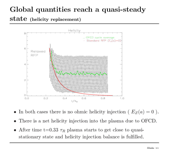## Global quantities reach a quasi-steady Global quantities re<br>state (helicity replacement)



- In both cases there is no ohmic helicity injection ( $E_Z(a) = 0$ )<br>• There is a net helicity injection into the plasma due to OFCD. • In both cases there is no ohmic helicity injection ( $E_Z(a)$ )<br>• There is a net helicity injection into the plasma due to C<br>• After time t=0.33  $\tau_R$  plasma starts to get close to quasi-
- 
- There is a net helicity injection into the plasma due to OFCD.<br>After time  $t=0.33 \tau_R$  plasma starts to get close to quasi-<br>stationary state and helicity injection balance is fulfilled.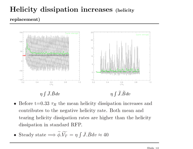## Helicity dissipation increases (helicity Hel<mark>icity</mark><br>replacement)



 $\eta \int \overline{J}.\overline{B}dv$   $\eta \int \widetilde{J}.\overline{B}dv$ <br>Before t=0.33  $\tau_R$  the mean helicity dissipation increases<br>contributes to the negative helicity rate. Both mean and • Before t=0.33  $\tau_R$  the mean helicity dissipation increases and contributes to the negative helicity rate. Both mean and tearing helicity dissipation rates are higher than the helicity dissipation in standard RFP.<br>• Ste contributes to the negative helicity rate. Both mean and tearing helicity dissipation rates are higher than the helicity dissipation in standard RFP.

• Steady state 
$$
\Longrightarrow \widetilde{\phi}.\widetilde{V}_T = \eta \int \bar{J}.\bar{B}dv \approx 40
$$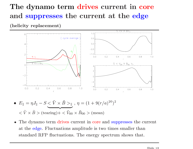## The dynamo term drives current in core The dynamo term drives current in <mark>co</mark><br>and suppresses the current at the edge The dynamo t<br>and suppresses<br>(helicity replacement)



\n- \n
$$
E_{\parallel} = \eta J_{\parallel} - S \leq \bar{V} \times \bar{B} > \eta
$$
,\n  $\eta = (1 + 9(r/a)^{20})^2$ \n
\n- \n $\sqrt{V} \times \tilde{B} > (\text{tearing}) + \sqrt{V_{00} \times B_{00}} > (\text{mean})$ \n
\n- \n The dynamo term drives current in core and suppresses the current\n
\n

 $<\tilde{V} \times \tilde{B} >$  (tearing)+  $<\tilde{V}_{00} \times \bar{B}_{00} >$  (mean)<br>The dynamo term drives current in core and suppresses the cu<br>at the edge. Fluctuations amplitude is two times smaller than at the edge. Fluctuations amplitude is two times smaller than standard RFP fluctuations. The energy spectrum shows that.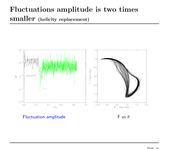### Fluctuations amplitude is two times smaller (helicity replacement)

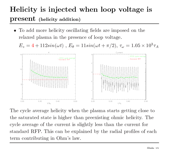### Helicity is injected when loop voltage is Helicity is injected<br>present (helicity addition) **present** (helicity addition)<br>• To add more helicity oscillating fields are imposed on the

relaxed plasma in the presence of loop voltage. **ESENT** (helicity addition)<br>
To add more helicity oscillating fields are imposed on the<br>
relaxed plasma in the presence of loop voltage.<br>  $E_z = 4 + 112sin(\omega t)$ ,  $E_\theta = 11sin(\omega t + \pi/2)$ ,  $\tau_\omega = 1.05 \times 10^3 \tau_A$ 



The cycle average helicity when the plasma starts getting close to the saturated state is higher than preexisting ohmic helicity. The The cycle average helicity when the plasma starts getting close<br>the saturated state is higher than preexisting ohmic helicity. T<br>cycle average of the current is slightly less than the current for the saturated state is higher than preexisting ohmic helicity. The cycle average of the current is slightly less than the current for standard RFP. This can be explained by the radial profiles of each The cycle average helicity when<br>the saturated state is higher tha<br>cycle average of the current is sl<br>standard RFP. This can be expl<br>term contributing in Ohm's law.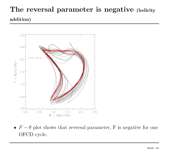### The reversal parameter is negative (helicity The r<br>addition)

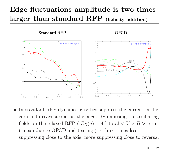### Edge uctuations amplitude is two times Edge fluctuations amplitude is two timeral arger than standard RFP (helicity addition) Standard RFP OFCD



In standard RFP dynamo activities suppress the current in the core and drives current at the edge. By imposing the oscillating  $\begin{array}{ccccc} \text{L} & & & & & & & & \text{L} & & & & & \text{L} \ \hline \text{L} & & & & & & & \text{L} & & & & \text{L} \ \end{array}$  and  $\begin{array}{ccccc} & & & & & & & \text{L} & & & & \text{L} & & & \text{L} \ \text{L} & & & & & & \text{L} & & & \text{L} \ \end{array}$ <br>  $\begin{array}{ccccc} \text{L} & & & & & \text{L} & & & \text{L} & & \text{L} \ \text{L} & & & & & \text{L} & & \text{L} \ \end{array}$ <br> In standard RFP dynamo activities suppress the curre<br>core and drives current at the edge. By imposing the<br>fields on the relaxed RFP ( $E_Z(a) = 4$ ) total  $\langle \bar{V} \times I \rangle$ <br>(mean due to OFCD and tearing) is three times less fields on the relaxed RFP ( $E_Z(a) = 4$ ) total  $\langle \bar{V} \times \bar{B} \rangle$  term<br>(mean due to OFCD and tearing) is three times less<br>suppressing close to the axis, more suppressing close to reversal suppressing close to the axis, more suppressing close to reversal<br>slide 17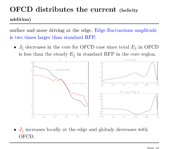# OFCD distributes the current (helicity OFCL<br>addition)

UFUD distributes the current (helicity<br>addition)<br>surface and more driving at the edge. Edge fluctuations amplitude addition)<br>surface and more driving at the edge. I<br>is two times larger than standard RFP. **Analytical Surface and more driving at the edge. Edge fluctuations amplitude**<br>is two times larger than standard RFP.<br>
•  $J_{\parallel}$  decreases in the core for OFCD case since total  $E_{\parallel}$  in OFCD

is less than the steady  $E_{\parallel}$  in standard RFP in the core region.



 $J_{\parallel}$  incresses the OFCD.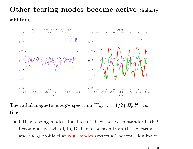## Other tearing modes become active (helicity Othe<mark>r</mark><br>addition)



The :<br>time.

be radial magnetic energy spectrum  $W_{mn}(r)=1/2\int B_r^2 d^3r$  vs.<br>
• Other tearing modes that haven't been active in standard RFP<br>
become active with OFCD. It can be seen from the spectrum  $\bullet$  Other tearing modes that haven't been active in standard RFP become active with OFCD. It can be seen from the spectrum and the q profile that edge modes (external) become dominant.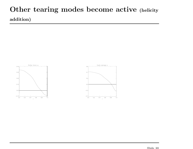## Other tearing modes become active (helicity Othe<mark>r</mark><br>addition)